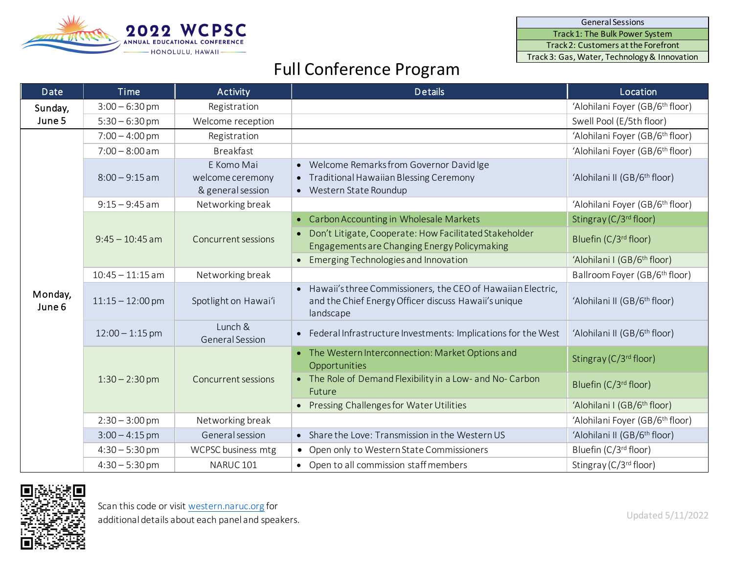General Sessions

Track 1: The Bulk Power System

Track 2: Customers at the Forefront

Track 3: Gas, Water, Technology& Innovation



## Full Conference Program

| <b>Date</b>       | <b>Time</b>        | <b>Activity</b>                                     | <b>Details</b>                                                                                                                     | Location                                    |
|-------------------|--------------------|-----------------------------------------------------|------------------------------------------------------------------------------------------------------------------------------------|---------------------------------------------|
| Sunday,<br>June 5 | $3:00 - 6:30$ pm   | Registration                                        |                                                                                                                                    | 'Alohilani Foyer (GB/6 <sup>th</sup> floor) |
|                   | $5:30 - 6:30$ pm   | Welcome reception                                   |                                                                                                                                    | Swell Pool (E/5th floor)                    |
| Monday,<br>June 6 | $7:00 - 4:00$ pm   | Registration                                        |                                                                                                                                    | 'Alohilani Foyer (GB/6 <sup>th</sup> floor) |
|                   | $7:00 - 8:00$ am   | <b>Breakfast</b>                                    |                                                                                                                                    | 'Alohilani Foyer (GB/6 <sup>th</sup> floor) |
|                   | $8:00 - 9:15$ am   | E Komo Mai<br>welcome ceremony<br>& general session | • Welcome Remarks from Governor David Ige<br>• Traditional Hawaiian Blessing Ceremony<br>• Western State Roundup                   | 'Alohilani II (GB/6 <sup>th</sup> floor)    |
|                   | $9:15 - 9:45$ am   | Networking break                                    |                                                                                                                                    | 'Alohilani Foyer (GB/6 <sup>th</sup> floor) |
|                   | $9:45 - 10:45$ am  | <b>Concurrent sessions</b>                          | • Carbon Accounting in Wholesale Markets                                                                                           | Stingray (C/3 <sup>rd</sup> floor)          |
|                   |                    |                                                     | Don't Litigate, Cooperate: How Facilitated Stakeholder<br>Engagements are Changing Energy Policymaking                             | Bluefin (C/3 <sup>rd</sup> floor)           |
|                   |                    |                                                     | • Emerging Technologies and Innovation                                                                                             | 'Alohilani I (GB/6 <sup>th</sup> floor)     |
|                   | $10:45 - 11:15$ am | Networking break                                    |                                                                                                                                    | Ballroom Foyer (GB/6 <sup>th</sup> floor)   |
|                   | $11:15 - 12:00$ pm | Spotlight on Hawai'i                                | • Hawaii's three Commissioners, the CEO of Hawaiian Electric,<br>and the Chief Energy Officer discuss Hawaii's unique<br>landscape | 'Alohilani II (GB/6 <sup>th</sup> floor)    |
|                   | $12:00 - 1:15$ pm  | Lunch &<br>General Session                          | • Federal Infrastructure Investments: Implications for the West                                                                    | 'Alohilani II (GB/6 <sup>th</sup> floor)    |
|                   | $1:30 - 2:30$ pm   | <b>Concurrent sessions</b>                          | • The Western Interconnection: Market Options and<br>Opportunities                                                                 | Stingray (C/3 <sup>rd</sup> floor)          |
|                   |                    |                                                     | • The Role of Demand Flexibility in a Low- and No- Carbon<br>Future                                                                | Bluefin (C/3 <sup>rd</sup> floor)           |
|                   |                    |                                                     | • Pressing Challenges for Water Utilities                                                                                          | 'Alohilani I (GB/6 <sup>th</sup> floor)     |
|                   | $2:30 - 3:00$ pm   | Networking break                                    |                                                                                                                                    | 'Alohilani Foyer (GB/6 <sup>th</sup> floor) |
|                   | $3:00 - 4:15$ pm   | General session                                     | • Share the Love: Transmission in the Western US                                                                                   | 'Alohilani II (GB/6 <sup>th</sup> floor)    |
|                   | $4:30 - 5:30$ pm   | WCPSC business mtg                                  | • Open only to Western State Commissioners                                                                                         | Bluefin (C/3rd floor)                       |
|                   | $4:30 - 5:30$ pm   | NARUC <sub>101</sub>                                | • Open to all commission staff members                                                                                             | Stingray (C/3rd floor)                      |